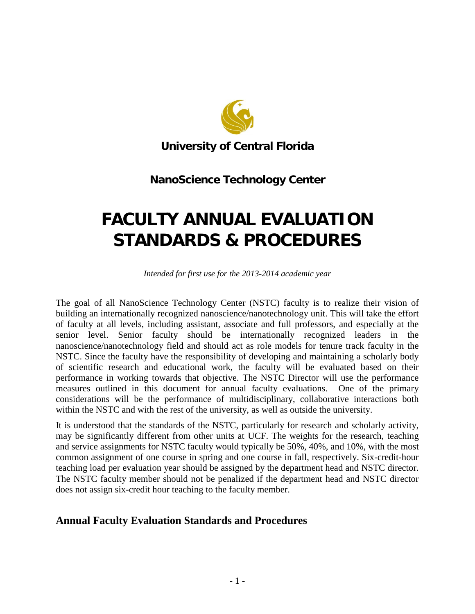

**University of Central Florida**

# **NanoScience Technology Center**

# **FACULTY ANNUAL EVALUATION STANDARDS & PROCEDURES**

*Intended for first use for the 2013-2014 academic year*

The goal of all NanoScience Technology Center (NSTC) faculty is to realize their vision of building an internationally recognized nanoscience/nanotechnology unit. This will take the effort of faculty at all levels, including assistant, associate and full professors, and especially at the senior level. Senior faculty should be internationally recognized leaders in the nanoscience/nanotechnology field and should act as role models for tenure track faculty in the NSTC. Since the faculty have the responsibility of developing and maintaining a scholarly body of scientific research and educational work, the faculty will be evaluated based on their performance in working towards that objective. The NSTC Director will use the performance measures outlined in this document for annual faculty evaluations. One of the primary considerations will be the performance of multidisciplinary, collaborative interactions both within the NSTC and with the rest of the university, as well as outside the university.

It is understood that the standards of the NSTC, particularly for research and scholarly activity, may be significantly different from other units at UCF. The weights for the research, teaching and service assignments for NSTC faculty would typically be 50%, 40%, and 10%, with the most common assignment of one course in spring and one course in fall, respectively. Six-credit-hour teaching load per evaluation year should be assigned by the department head and NSTC director. The NSTC faculty member should not be penalized if the department head and NSTC director does not assign six-credit hour teaching to the faculty member.

# **Annual Faculty Evaluation Standards and Procedures**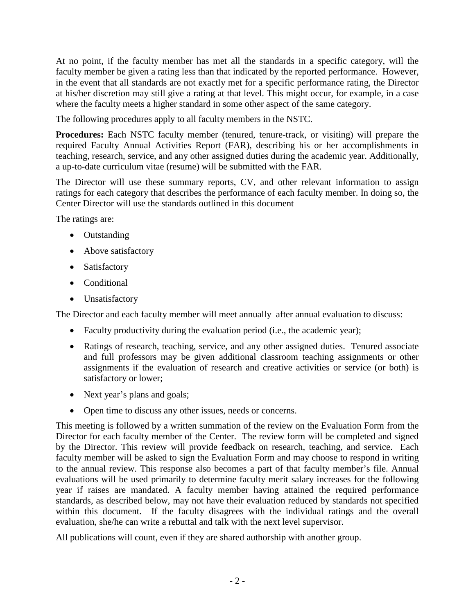At no point, if the faculty member has met all the standards in a specific category, will the faculty member be given a rating less than that indicated by the reported performance. However, in the event that all standards are not exactly met for a specific performance rating, the Director at his/her discretion may still give a rating at that level. This might occur, for example, in a case where the faculty meets a higher standard in some other aspect of the same category.

The following procedures apply to all faculty members in the NSTC.

**Procedures:** Each NSTC faculty member (tenured, tenure-track, or visiting) will prepare the required Faculty Annual Activities Report (FAR), describing his or her accomplishments in teaching, research, service, and any other assigned duties during the academic year. Additionally, a up-to-date curriculum vitae (resume) will be submitted with the FAR.

The Director will use these summary reports, CV, and other relevant information to assign ratings for each category that describes the performance of each faculty member. In doing so, the Center Director will use the standards outlined in this document

The ratings are:

- Outstanding
- Above satisfactory
- Satisfactory
- Conditional
- Unsatisfactory

The Director and each faculty member will meet annually after annual evaluation to discuss:

- Faculty productivity during the evaluation period (i.e., the academic year);
- Ratings of research, teaching, service, and any other assigned duties. Tenured associate and full professors may be given additional classroom teaching assignments or other assignments if the evaluation of research and creative activities or service (or both) is satisfactory or lower;
- Next year's plans and goals;
- Open time to discuss any other issues, needs or concerns.

This meeting is followed by a written summation of the review on the Evaluation Form from the Director for each faculty member of the Center. The review form will be completed and signed by the Director. This review will provide feedback on research, teaching, and service. Each faculty member will be asked to sign the Evaluation Form and may choose to respond in writing to the annual review. This response also becomes a part of that faculty member's file. Annual evaluations will be used primarily to determine faculty merit salary increases for the following year if raises are mandated. A faculty member having attained the required performance standards, as described below, may not have their evaluation reduced by standards not specified within this document. If the faculty disagrees with the individual ratings and the overall evaluation, she/he can write a rebuttal and talk with the next level supervisor.

All publications will count, even if they are shared authorship with another group.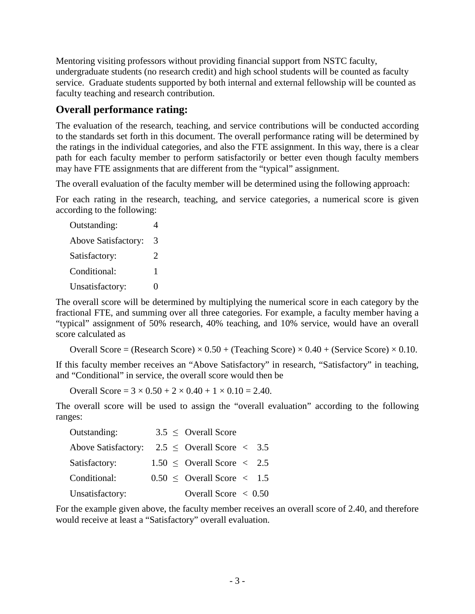Mentoring visiting professors without providing financial support from NSTC faculty, undergraduate students (no research credit) and high school students will be counted as faculty service. Graduate students supported by both internal and external fellowship will be counted as faculty teaching and research contribution.

# **Overall performance rating:**

The evaluation of the research, teaching, and service contributions will be conducted according to the standards set forth in this document. The overall performance rating will be determined by the ratings in the individual categories, and also the FTE assignment. In this way, there is a clear path for each faculty member to perform satisfactorily or better even though faculty members may have FTE assignments that are different from the "typical" assignment.

The overall evaluation of the faculty member will be determined using the following approach:

For each rating in the research, teaching, and service categories, a numerical score is given according to the following:

| Outstanding:               |                       |  |
|----------------------------|-----------------------|--|
| <b>Above Satisfactory:</b> | 3                     |  |
| Satisfactory:              | $\mathcal{D}_{\cdot}$ |  |
| Conditional:               | 1                     |  |
| Unsatisfactory:            | Ω                     |  |

The overall score will be determined by multiplying the numerical score in each category by the fractional FTE, and summing over all three categories. For example, a faculty member having a "typical" assignment of 50% research, 40% teaching, and 10% service, would have an overall score calculated as

Overall Score = (Research Score)  $\times$  0.50 + (Teaching Score)  $\times$  0.40 + (Service Score)  $\times$  0.10.

If this faculty member receives an "Above Satisfactory" in research, "Satisfactory" in teaching, and "Conditional" in service, the overall score would then be

Overall Score =  $3 \times 0.50 + 2 \times 0.40 + 1 \times 0.10 = 2.40$ .

The overall score will be used to assign the "overall evaluation" according to the following ranges:

| Outstanding:                                                       |  | $3.5 \leq$ Overall Score                        |  |
|--------------------------------------------------------------------|--|-------------------------------------------------|--|
| Above Satisfactory: $2.5 \leq$ Overall Score $\langle 3.5 \rangle$ |  |                                                 |  |
| Satisfactory:                                                      |  | $1.50 \leq$ Overall Score $\langle 2.5 \rangle$ |  |
| Conditional:                                                       |  | $0.50 \leq$ Overall Score $\leq 1.5$            |  |
| Unsatisfactory:                                                    |  | Overall Score $\leq 0.50$                       |  |

For the example given above, the faculty member receives an overall score of 2.40, and therefore would receive at least a "Satisfactory" overall evaluation.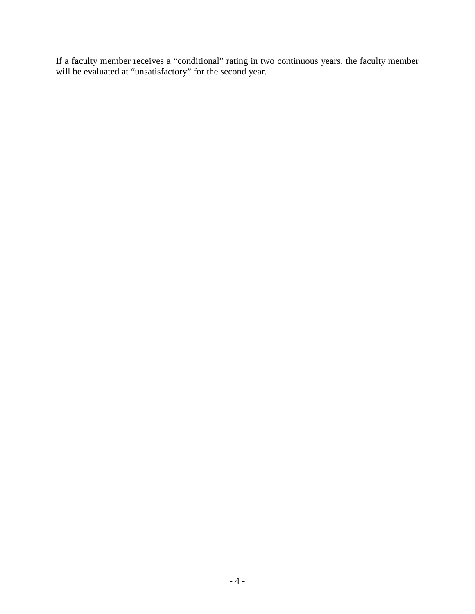If a faculty member receives a "conditional" rating in two continuous years, the faculty member will be evaluated at "unsatisfactory" for the second year.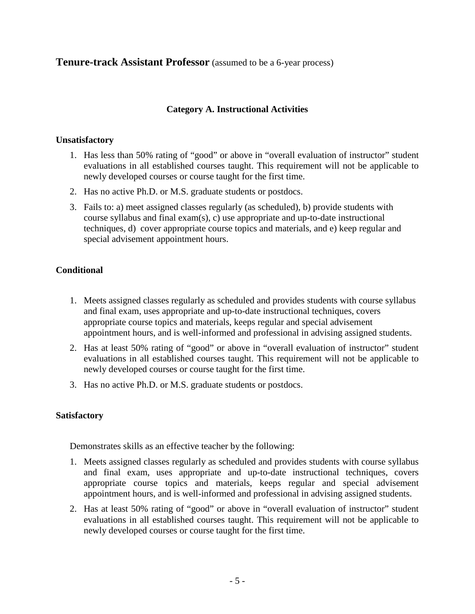**Tenure-track Assistant Professor** (assumed to be a 6-year process)

## **Category A. Instructional Activities**

## **Unsatisfactory**

- 1. Has less than 50% rating of "good" or above in "overall evaluation of instructor" student evaluations in all established courses taught. This requirement will not be applicable to newly developed courses or course taught for the first time.
- 2. Has no active Ph.D. or M.S. graduate students or postdocs.
- 3. Fails to: a) meet assigned classes regularly (as scheduled), b) provide students with course syllabus and final exam(s), c) use appropriate and up-to-date instructional techniques, d) cover appropriate course topics and materials, and e) keep regular and special advisement appointment hours.

## **Conditional**

- 1. Meets assigned classes regularly as scheduled and provides students with course syllabus and final exam, uses appropriate and up-to-date instructional techniques, covers appropriate course topics and materials, keeps regular and special advisement appointment hours, and is well-informed and professional in advising assigned students.
- 2. Has at least 50% rating of "good" or above in "overall evaluation of instructor" student evaluations in all established courses taught. This requirement will not be applicable to newly developed courses or course taught for the first time.
- 3. Has no active Ph.D. or M.S. graduate students or postdocs.

## **Satisfactory**

Demonstrates skills as an effective teacher by the following:

- 1. Meets assigned classes regularly as scheduled and provides students with course syllabus and final exam, uses appropriate and up-to-date instructional techniques, covers appropriate course topics and materials, keeps regular and special advisement appointment hours, and is well-informed and professional in advising assigned students.
- 2. Has at least 50% rating of "good" or above in "overall evaluation of instructor" student evaluations in all established courses taught. This requirement will not be applicable to newly developed courses or course taught for the first time.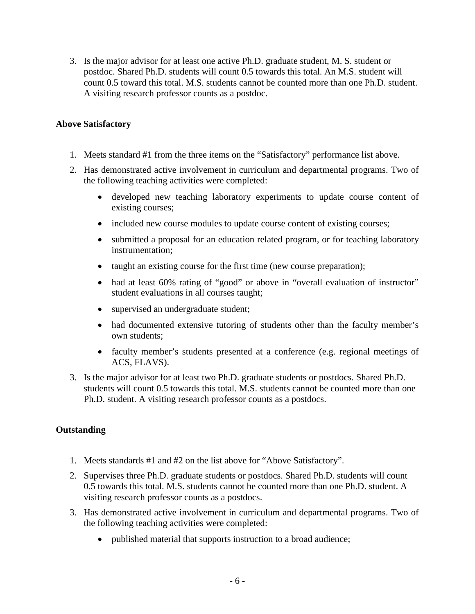3. Is the major advisor for at least one active Ph.D. graduate student, M. S. student or postdoc. Shared Ph.D. students will count 0.5 towards this total. An M.S. student will count 0.5 toward this total. M.S. students cannot be counted more than one Ph.D. student. A visiting research professor counts as a postdoc.

## **Above Satisfactory**

- 1. Meets standard #1 from the three items on the "Satisfactory" performance list above.
- 2. Has demonstrated active involvement in curriculum and departmental programs. Two of the following teaching activities were completed:
	- developed new teaching laboratory experiments to update course content of existing courses;
	- included new course modules to update course content of existing courses;
	- submitted a proposal for an education related program, or for teaching laboratory instrumentation;
	- taught an existing course for the first time (new course preparation);
	- had at least 60% rating of "good" or above in "overall evaluation of instructor" student evaluations in all courses taught;
	- supervised an undergraduate student;
	- had documented extensive tutoring of students other than the faculty member's own students;
	- faculty member's students presented at a conference (e.g. regional meetings of ACS, FLAVS).
- 3. Is the major advisor for at least two Ph.D. graduate students or postdocs. Shared Ph.D. students will count 0.5 towards this total. M.S. students cannot be counted more than one Ph.D. student. A visiting research professor counts as a postdocs.

## **Outstanding**

- 1. Meets standards #1 and #2 on the list above for "Above Satisfactory".
- 2. Supervises three Ph.D. graduate students or postdocs. Shared Ph.D. students will count 0.5 towards this total. M.S. students cannot be counted more than one Ph.D. student. A visiting research professor counts as a postdocs.
- 3. Has demonstrated active involvement in curriculum and departmental programs. Two of the following teaching activities were completed:
	- published material that supports instruction to a broad audience;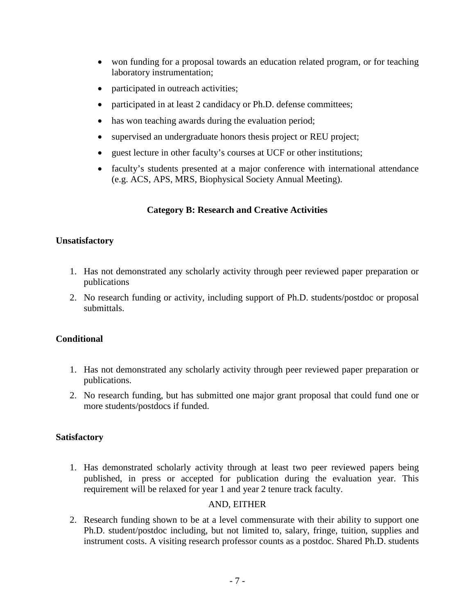- won funding for a proposal towards an education related program, or for teaching laboratory instrumentation;
- participated in outreach activities;
- participated in at least 2 candidacy or Ph.D. defense committees;
- has won teaching awards during the evaluation period;
- supervised an undergraduate honors thesis project or REU project;
- guest lecture in other faculty's courses at UCF or other institutions;
- faculty's students presented at a major conference with international attendance (e.g. ACS, APS, MRS, Biophysical Society Annual Meeting).

# **Category B: Research and Creative Activities**

## **Unsatisfactory**

- 1. Has not demonstrated any scholarly activity through peer reviewed paper preparation or publications
- 2. No research funding or activity, including support of Ph.D. students/postdoc or proposal submittals.

## **Conditional**

- 1. Has not demonstrated any scholarly activity through peer reviewed paper preparation or publications.
- 2. No research funding, but has submitted one major grant proposal that could fund one or more students/postdocs if funded.

## **Satisfactory**

1. Has demonstrated scholarly activity through at least two peer reviewed papers being published, in press or accepted for publication during the evaluation year. This requirement will be relaxed for year 1 and year 2 tenure track faculty.

## AND, EITHER

2. Research funding shown to be at a level commensurate with their ability to support one Ph.D. student/postdoc including, but not limited to, salary, fringe, tuition, supplies and instrument costs. A visiting research professor counts as a postdoc. Shared Ph.D. students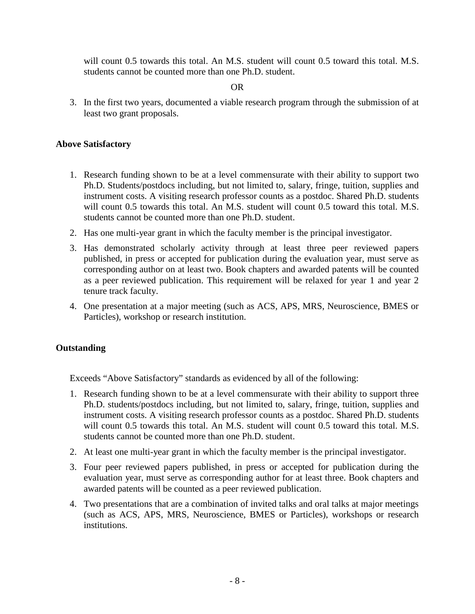will count 0.5 towards this total. An M.S. student will count 0.5 toward this total. M.S. students cannot be counted more than one Ph.D. student.

#### OR

3. In the first two years, documented a viable research program through the submission of at least two grant proposals.

#### **Above Satisfactory**

- 1. Research funding shown to be at a level commensurate with their ability to support two Ph.D. Students/postdocs including, but not limited to, salary, fringe, tuition, supplies and instrument costs. A visiting research professor counts as a postdoc. Shared Ph.D. students will count 0.5 towards this total. An M.S. student will count 0.5 toward this total. M.S. students cannot be counted more than one Ph.D. student.
- 2. Has one multi-year grant in which the faculty member is the principal investigator.
- 3. Has demonstrated scholarly activity through at least three peer reviewed papers published, in press or accepted for publication during the evaluation year, must serve as corresponding author on at least two. Book chapters and awarded patents will be counted as a peer reviewed publication. This requirement will be relaxed for year 1 and year 2 tenure track faculty.
- 4. One presentation at a major meeting (such as ACS, APS, MRS, Neuroscience, BMES or Particles), workshop or research institution.

## **Outstanding**

Exceeds "Above Satisfactory" standards as evidenced by all of the following:

- 1. Research funding shown to be at a level commensurate with their ability to support three Ph.D. students/postdocs including, but not limited to, salary, fringe, tuition, supplies and instrument costs. A visiting research professor counts as a postdoc. Shared Ph.D. students will count 0.5 towards this total. An M.S. student will count 0.5 toward this total. M.S. students cannot be counted more than one Ph.D. student.
- 2. At least one multi-year grant in which the faculty member is the principal investigator.
- 3. Four peer reviewed papers published, in press or accepted for publication during the evaluation year, must serve as corresponding author for at least three. Book chapters and awarded patents will be counted as a peer reviewed publication.
- 4. Two presentations that are a combination of invited talks and oral talks at major meetings (such as ACS, APS, MRS, Neuroscience, BMES or Particles), workshops or research institutions.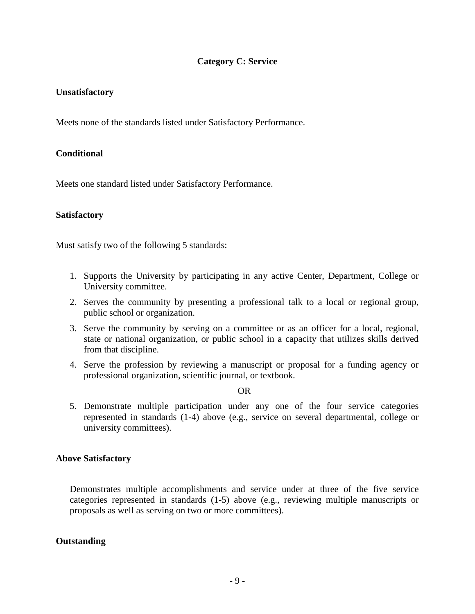## **Category C: Service**

#### **Unsatisfactory**

Meets none of the standards listed under Satisfactory Performance.

## **Conditional**

Meets one standard listed under Satisfactory Performance.

#### **Satisfactory**

Must satisfy two of the following 5 standards:

- 1. Supports the University by participating in any active Center, Department, College or University committee.
- 2. Serves the community by presenting a professional talk to a local or regional group, public school or organization.
- 3. Serve the community by serving on a committee or as an officer for a local, regional, state or national organization, or public school in a capacity that utilizes skills derived from that discipline.
- 4. Serve the profession by reviewing a manuscript or proposal for a funding agency or professional organization, scientific journal, or textbook.

OR

5. Demonstrate multiple participation under any one of the four service categories represented in standards (1-4) above (e.g., service on several departmental, college or university committees).

#### **Above Satisfactory**

Demonstrates multiple accomplishments and service under at three of the five service categories represented in standards (1-5) above (e.g., reviewing multiple manuscripts or proposals as well as serving on two or more committees).

#### **Outstanding**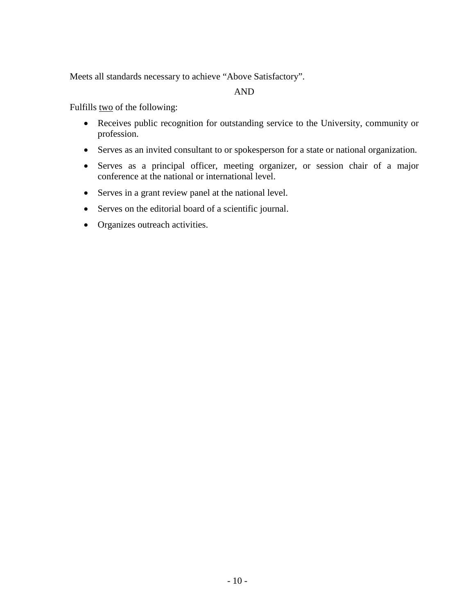Meets all standards necessary to achieve "Above Satisfactory".

## AND

Fulfills two of the following:

- Receives public recognition for outstanding service to the University, community or profession.
- Serves as an invited consultant to or spokesperson for a state or national organization.
- Serves as a principal officer, meeting organizer, or session chair of a major conference at the national or international level.
- Serves in a grant review panel at the national level.
- Serves on the editorial board of a scientific journal.
- Organizes outreach activities.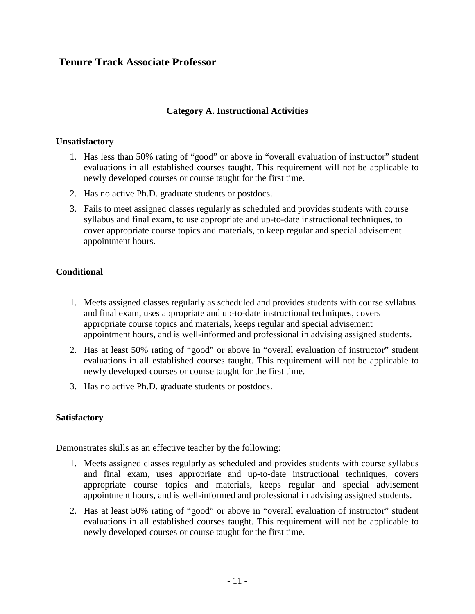# **Tenure Track Associate Professor**

## **Category A. Instructional Activities**

#### **Unsatisfactory**

- 1. Has less than 50% rating of "good" or above in "overall evaluation of instructor" student evaluations in all established courses taught. This requirement will not be applicable to newly developed courses or course taught for the first time.
- 2. Has no active Ph.D. graduate students or postdocs.
- 3. Fails to meet assigned classes regularly as scheduled and provides students with course syllabus and final exam, to use appropriate and up-to-date instructional techniques, to cover appropriate course topics and materials, to keep regular and special advisement appointment hours.

#### **Conditional**

- 1. Meets assigned classes regularly as scheduled and provides students with course syllabus and final exam, uses appropriate and up-to-date instructional techniques, covers appropriate course topics and materials, keeps regular and special advisement appointment hours, and is well-informed and professional in advising assigned students.
- 2. Has at least 50% rating of "good" or above in "overall evaluation of instructor" student evaluations in all established courses taught. This requirement will not be applicable to newly developed courses or course taught for the first time.
- 3. Has no active Ph.D. graduate students or postdocs.

#### **Satisfactory**

Demonstrates skills as an effective teacher by the following:

- 1. Meets assigned classes regularly as scheduled and provides students with course syllabus and final exam, uses appropriate and up-to-date instructional techniques, covers appropriate course topics and materials, keeps regular and special advisement appointment hours, and is well-informed and professional in advising assigned students.
- 2. Has at least 50% rating of "good" or above in "overall evaluation of instructor" student evaluations in all established courses taught. This requirement will not be applicable to newly developed courses or course taught for the first time.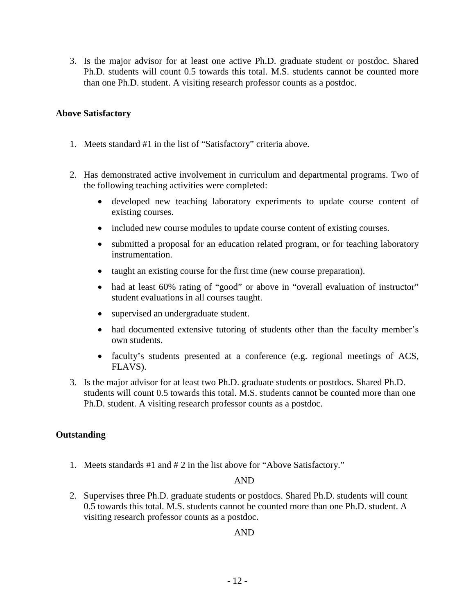3. Is the major advisor for at least one active Ph.D. graduate student or postdoc. Shared Ph.D. students will count 0.5 towards this total. M.S. students cannot be counted more than one Ph.D. student. A visiting research professor counts as a postdoc.

## **Above Satisfactory**

- 1. Meets standard #1 in the list of "Satisfactory" criteria above.
- 2. Has demonstrated active involvement in curriculum and departmental programs. Two of the following teaching activities were completed:
	- developed new teaching laboratory experiments to update course content of existing courses.
	- included new course modules to update course content of existing courses.
	- submitted a proposal for an education related program, or for teaching laboratory instrumentation.
	- taught an existing course for the first time (new course preparation).
	- had at least 60% rating of "good" or above in "overall evaluation of instructor" student evaluations in all courses taught.
	- supervised an undergraduate student.
	- had documented extensive tutoring of students other than the faculty member's own students.
	- faculty's students presented at a conference (e.g. regional meetings of ACS, FLAVS).
- 3. Is the major advisor for at least two Ph.D. graduate students or postdocs. Shared Ph.D. students will count 0.5 towards this total. M.S. students cannot be counted more than one Ph.D. student. A visiting research professor counts as a postdoc.

## **Outstanding**

1. Meets standards #1 and # 2 in the list above for "Above Satisfactory."

## AND

2. Supervises three Ph.D. graduate students or postdocs. Shared Ph.D. students will count 0.5 towards this total. M.S. students cannot be counted more than one Ph.D. student. A visiting research professor counts as a postdoc.

## AND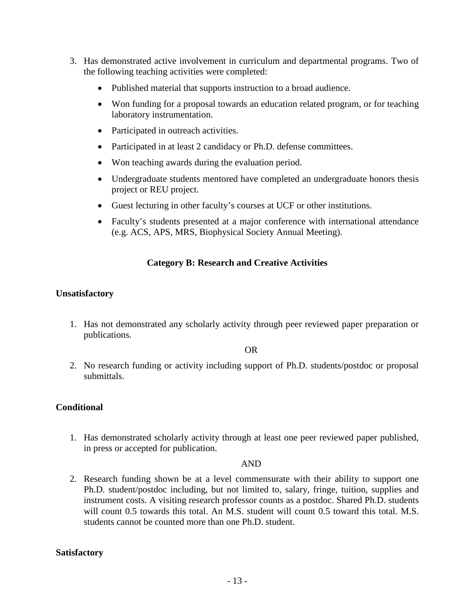- 3. Has demonstrated active involvement in curriculum and departmental programs. Two of the following teaching activities were completed:
	- Published material that supports instruction to a broad audience.
	- Won funding for a proposal towards an education related program, or for teaching laboratory instrumentation.
	- Participated in outreach activities.
	- Participated in at least 2 candidacy or Ph.D. defense committees.
	- Won teaching awards during the evaluation period.
	- Undergraduate students mentored have completed an undergraduate honors thesis project or REU project.
	- Guest lecturing in other faculty's courses at UCF or other institutions.
	- Faculty's students presented at a major conference with international attendance (e.g. ACS, APS, MRS, Biophysical Society Annual Meeting).

## **Category B: Research and Creative Activities**

#### **Unsatisfactory**

1. Has not demonstrated any scholarly activity through peer reviewed paper preparation or publications.

#### OR

2. No research funding or activity including support of Ph.D. students/postdoc or proposal submittals.

#### **Conditional**

1. Has demonstrated scholarly activity through at least one peer reviewed paper published, in press or accepted for publication.

#### AND

2. Research funding shown be at a level commensurate with their ability to support one Ph.D. student/postdoc including, but not limited to, salary, fringe, tuition, supplies and instrument costs. A visiting research professor counts as a postdoc. Shared Ph.D. students will count 0.5 towards this total. An M.S. student will count 0.5 toward this total. M.S. students cannot be counted more than one Ph.D. student.

#### **Satisfactory**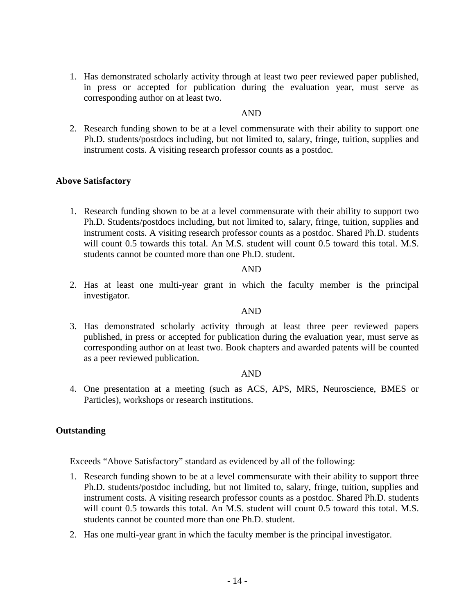1. Has demonstrated scholarly activity through at least two peer reviewed paper published, in press or accepted for publication during the evaluation year, must serve as corresponding author on at least two.

## AND

2. Research funding shown to be at a level commensurate with their ability to support one Ph.D. students/postdocs including, but not limited to, salary, fringe, tuition, supplies and instrument costs. A visiting research professor counts as a postdoc.

#### **Above Satisfactory**

1. Research funding shown to be at a level commensurate with their ability to support two Ph.D. Students/postdocs including, but not limited to, salary, fringe, tuition, supplies and instrument costs. A visiting research professor counts as a postdoc. Shared Ph.D. students will count 0.5 towards this total. An M.S. student will count 0.5 toward this total. M.S. students cannot be counted more than one Ph.D. student.

#### AND

2. Has at least one multi-year grant in which the faculty member is the principal investigator.

#### AND

3. Has demonstrated scholarly activity through at least three peer reviewed papers published, in press or accepted for publication during the evaluation year, must serve as corresponding author on at least two. Book chapters and awarded patents will be counted as a peer reviewed publication.

#### AND

4. One presentation at a meeting (such as ACS, APS, MRS, Neuroscience, BMES or Particles), workshops or research institutions.

#### **Outstanding**

Exceeds "Above Satisfactory" standard as evidenced by all of the following:

- 1. Research funding shown to be at a level commensurate with their ability to support three Ph.D. students/postdoc including, but not limited to, salary, fringe, tuition, supplies and instrument costs. A visiting research professor counts as a postdoc. Shared Ph.D. students will count 0.5 towards this total. An M.S. student will count 0.5 toward this total. M.S. students cannot be counted more than one Ph.D. student.
- 2. Has one multi-year grant in which the faculty member is the principal investigator.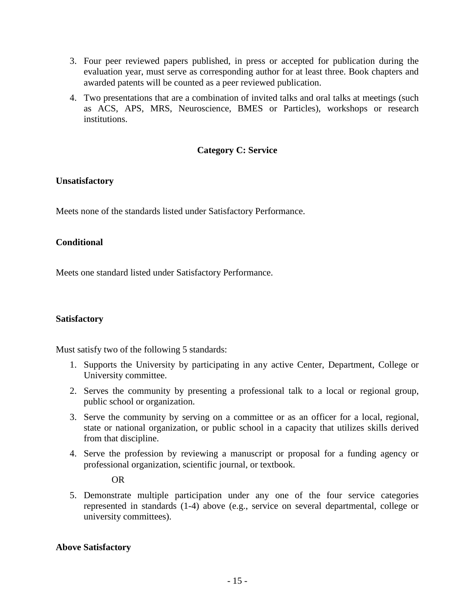- 3. Four peer reviewed papers published, in press or accepted for publication during the evaluation year, must serve as corresponding author for at least three. Book chapters and awarded patents will be counted as a peer reviewed publication.
- 4. Two presentations that are a combination of invited talks and oral talks at meetings (such as ACS, APS, MRS, Neuroscience, BMES or Particles), workshops or research institutions.

## **Category C: Service**

## **Unsatisfactory**

Meets none of the standards listed under Satisfactory Performance.

## **Conditional**

Meets one standard listed under Satisfactory Performance.

## **Satisfactory**

Must satisfy two of the following 5 standards:

- 1. Supports the University by participating in any active Center, Department, College or University committee.
- 2. Serves the community by presenting a professional talk to a local or regional group, public school or organization.
- 3. Serve the community by serving on a committee or as an officer for a local, regional, state or national organization, or public school in a capacity that utilizes skills derived from that discipline.
- 4. Serve the profession by reviewing a manuscript or proposal for a funding agency or professional organization, scientific journal, or textbook.

OR

5. Demonstrate multiple participation under any one of the four service categories represented in standards (1-4) above (e.g., service on several departmental, college or university committees).

## **Above Satisfactory**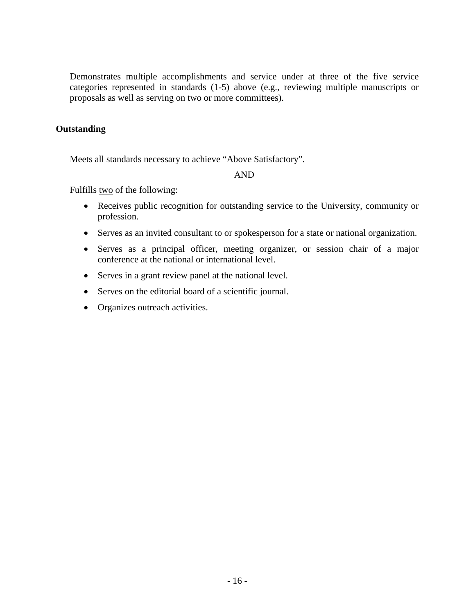Demonstrates multiple accomplishments and service under at three of the five service categories represented in standards (1-5) above (e.g., reviewing multiple manuscripts or proposals as well as serving on two or more committees).

## **Outstanding**

Meets all standards necessary to achieve "Above Satisfactory".

AND

Fulfills <u>two</u> of the following:

- Receives public recognition for outstanding service to the University, community or profession.
- Serves as an invited consultant to or spokesperson for a state or national organization.
- Serves as a principal officer, meeting organizer, or session chair of a major conference at the national or international level.
- Serves in a grant review panel at the national level.
- Serves on the editorial board of a scientific journal.
- Organizes outreach activities.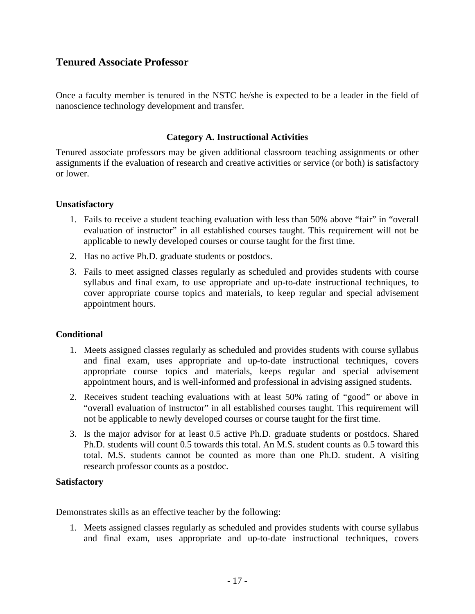# **Tenured Associate Professor**

Once a faculty member is tenured in the NSTC he/she is expected to be a leader in the field of nanoscience technology development and transfer.

#### **Category A. Instructional Activities**

Tenured associate professors may be given additional classroom teaching assignments or other assignments if the evaluation of research and creative activities or service (or both) is satisfactory or lower.

#### **Unsatisfactory**

- 1. Fails to receive a student teaching evaluation with less than 50% above "fair" in "overall evaluation of instructor" in all established courses taught. This requirement will not be applicable to newly developed courses or course taught for the first time.
- 2. Has no active Ph.D. graduate students or postdocs.
- 3. Fails to meet assigned classes regularly as scheduled and provides students with course syllabus and final exam, to use appropriate and up-to-date instructional techniques, to cover appropriate course topics and materials, to keep regular and special advisement appointment hours.

#### **Conditional**

- 1. Meets assigned classes regularly as scheduled and provides students with course syllabus and final exam, uses appropriate and up-to-date instructional techniques, covers appropriate course topics and materials, keeps regular and special advisement appointment hours, and is well-informed and professional in advising assigned students.
- 2. Receives student teaching evaluations with at least 50% rating of "good" or above in "overall evaluation of instructor" in all established courses taught. This requirement will not be applicable to newly developed courses or course taught for the first time.
- 3. Is the major advisor for at least 0.5 active Ph.D. graduate students or postdocs. Shared Ph.D. students will count 0.5 towards this total. An M.S. student counts as 0.5 toward this total. M.S. students cannot be counted as more than one Ph.D. student. A visiting research professor counts as a postdoc.

#### **Satisfactory**

Demonstrates skills as an effective teacher by the following:

1. Meets assigned classes regularly as scheduled and provides students with course syllabus and final exam, uses appropriate and up-to-date instructional techniques, covers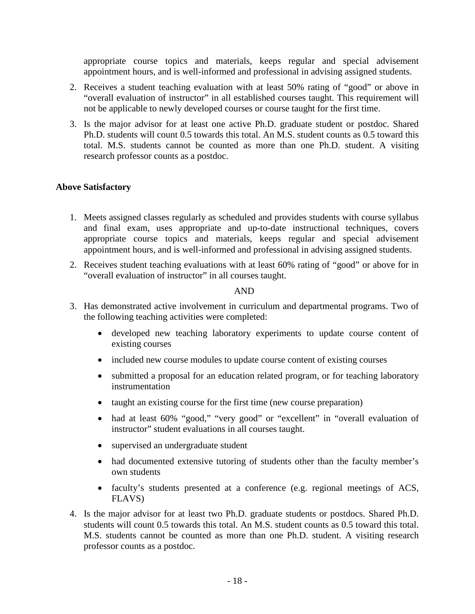appropriate course topics and materials, keeps regular and special advisement appointment hours, and is well-informed and professional in advising assigned students.

- 2. Receives a student teaching evaluation with at least 50% rating of "good" or above in "overall evaluation of instructor" in all established courses taught. This requirement will not be applicable to newly developed courses or course taught for the first time.
- 3. Is the major advisor for at least one active Ph.D. graduate student or postdoc. Shared Ph.D. students will count 0.5 towards this total. An M.S. student counts as 0.5 toward this total. M.S. students cannot be counted as more than one Ph.D. student. A visiting research professor counts as a postdoc.

## **Above Satisfactory**

- 1. Meets assigned classes regularly as scheduled and provides students with course syllabus and final exam, uses appropriate and up-to-date instructional techniques, covers appropriate course topics and materials, keeps regular and special advisement appointment hours, and is well-informed and professional in advising assigned students.
- 2. Receives student teaching evaluations with at least 60% rating of "good" or above for in "overall evaluation of instructor" in all courses taught.

#### AND

- 3. Has demonstrated active involvement in curriculum and departmental programs. Two of the following teaching activities were completed:
	- developed new teaching laboratory experiments to update course content of existing courses
	- included new course modules to update course content of existing courses
	- submitted a proposal for an education related program, or for teaching laboratory instrumentation
	- taught an existing course for the first time (new course preparation)
	- had at least 60% "good," "very good" or "excellent" in "overall evaluation of instructor" student evaluations in all courses taught.
	- supervised an undergraduate student
	- had documented extensive tutoring of students other than the faculty member's own students
	- faculty's students presented at a conference (e.g. regional meetings of ACS, FLAVS)
- 4. Is the major advisor for at least two Ph.D. graduate students or postdocs. Shared Ph.D. students will count 0.5 towards this total. An M.S. student counts as 0.5 toward this total. M.S. students cannot be counted as more than one Ph.D. student. A visiting research professor counts as a postdoc.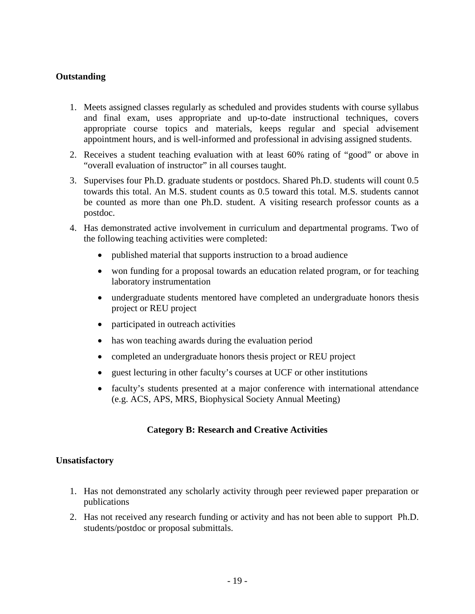## **Outstanding**

- 1. Meets assigned classes regularly as scheduled and provides students with course syllabus and final exam, uses appropriate and up-to-date instructional techniques, covers appropriate course topics and materials, keeps regular and special advisement appointment hours, and is well-informed and professional in advising assigned students.
- 2. Receives a student teaching evaluation with at least 60% rating of "good" or above in "overall evaluation of instructor" in all courses taught.
- 3. Supervises four Ph.D. graduate students or postdocs. Shared Ph.D. students will count 0.5 towards this total. An M.S. student counts as 0.5 toward this total. M.S. students cannot be counted as more than one Ph.D. student. A visiting research professor counts as a postdoc.
- 4. Has demonstrated active involvement in curriculum and departmental programs. Two of the following teaching activities were completed:
	- published material that supports instruction to a broad audience
	- won funding for a proposal towards an education related program, or for teaching laboratory instrumentation
	- undergraduate students mentored have completed an undergraduate honors thesis project or REU project
	- participated in outreach activities
	- has won teaching awards during the evaluation period
	- completed an undergraduate honors thesis project or REU project
	- guest lecturing in other faculty's courses at UCF or other institutions
	- faculty's students presented at a major conference with international attendance (e.g. ACS, APS, MRS, Biophysical Society Annual Meeting)

## **Category B: Research and Creative Activities**

#### **Unsatisfactory**

- 1. Has not demonstrated any scholarly activity through peer reviewed paper preparation or publications
- 2. Has not received any research funding or activity and has not been able to support Ph.D. students/postdoc or proposal submittals.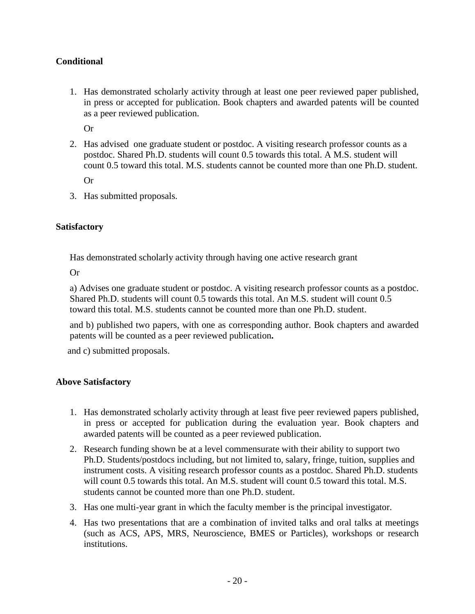## **Conditional**

1. Has demonstrated scholarly activity through at least one peer reviewed paper published, in press or accepted for publication. Book chapters and awarded patents will be counted as a peer reviewed publication.

Or

2. Has advised one graduate student or postdoc. A visiting research professor counts as a postdoc. Shared Ph.D. students will count 0.5 towards this total. A M.S. student will count 0.5 toward this total. M.S. students cannot be counted more than one Ph.D. student.

Or

3. Has submitted proposals.

## **Satisfactory**

Has demonstrated scholarly activity through having one active research grant

Or

a) Advises one graduate student or postdoc. A visiting research professor counts as a postdoc. Shared Ph.D. students will count 0.5 towards this total. An M.S. student will count 0.5 toward this total. M.S. students cannot be counted more than one Ph.D. student.

and b) published two papers, with one as corresponding author. Book chapters and awarded patents will be counted as a peer reviewed publication**.**

and c) submitted proposals.

## **Above Satisfactory**

- 1. Has demonstrated scholarly activity through at least five peer reviewed papers published, in press or accepted for publication during the evaluation year. Book chapters and awarded patents will be counted as a peer reviewed publication.
- 2. Research funding shown be at a level commensurate with their ability to support two Ph.D. Students/postdocs including, but not limited to, salary, fringe, tuition, supplies and instrument costs. A visiting research professor counts as a postdoc. Shared Ph.D. students will count 0.5 towards this total. An M.S. student will count 0.5 toward this total. M.S. students cannot be counted more than one Ph.D. student.
- 3. Has one multi-year grant in which the faculty member is the principal investigator.
- 4. Has two presentations that are a combination of invited talks and oral talks at meetings (such as ACS, APS, MRS, Neuroscience, BMES or Particles), workshops or research institutions.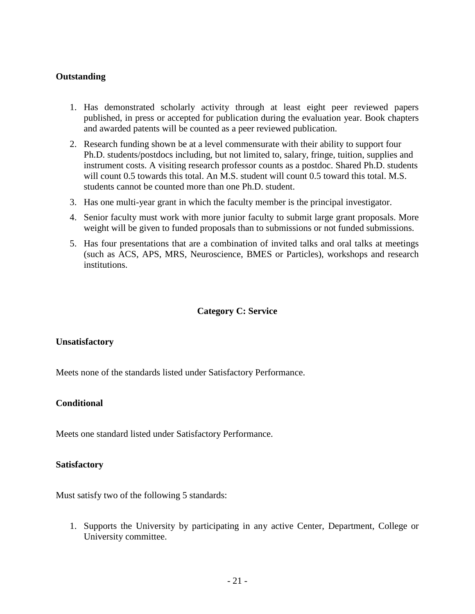## **Outstanding**

- 1. Has demonstrated scholarly activity through at least eight peer reviewed papers published, in press or accepted for publication during the evaluation year. Book chapters and awarded patents will be counted as a peer reviewed publication.
- 2. Research funding shown be at a level commensurate with their ability to support four Ph.D. students/postdocs including, but not limited to, salary, fringe, tuition, supplies and instrument costs. A visiting research professor counts as a postdoc. Shared Ph.D. students will count 0.5 towards this total. An M.S. student will count 0.5 toward this total. M.S. students cannot be counted more than one Ph.D. student.
- 3. Has one multi-year grant in which the faculty member is the principal investigator.
- 4. Senior faculty must work with more junior faculty to submit large grant proposals. More weight will be given to funded proposals than to submissions or not funded submissions.
- 5. Has four presentations that are a combination of invited talks and oral talks at meetings (such as ACS, APS, MRS, Neuroscience, BMES or Particles), workshops and research institutions.

#### **Category C: Service**

#### **Unsatisfactory**

Meets none of the standards listed under Satisfactory Performance.

#### **Conditional**

Meets one standard listed under Satisfactory Performance.

#### **Satisfactory**

Must satisfy two of the following 5 standards:

1. Supports the University by participating in any active Center, Department, College or University committee.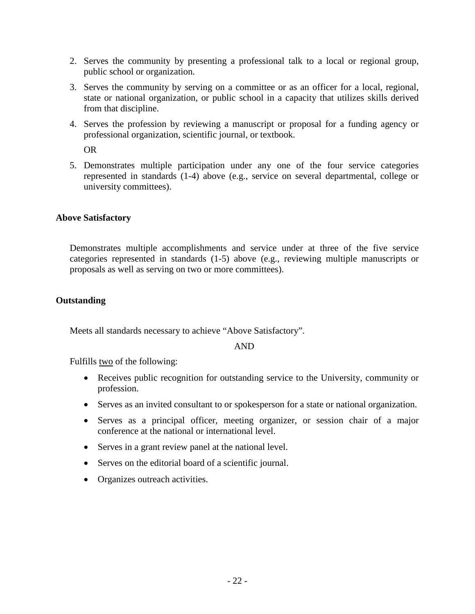- 2. Serves the community by presenting a professional talk to a local or regional group, public school or organization.
- 3. Serves the community by serving on a committee or as an officer for a local, regional, state or national organization, or public school in a capacity that utilizes skills derived from that discipline.
- 4. Serves the profession by reviewing a manuscript or proposal for a funding agency or professional organization, scientific journal, or textbook.

OR

5. Demonstrates multiple participation under any one of the four service categories represented in standards (1-4) above (e.g., service on several departmental, college or university committees).

## **Above Satisfactory**

Demonstrates multiple accomplishments and service under at three of the five service categories represented in standards (1-5) above (e.g., reviewing multiple manuscripts or proposals as well as serving on two or more committees).

## **Outstanding**

Meets all standards necessary to achieve "Above Satisfactory".

AND

Fulfills two of the following:

- Receives public recognition for outstanding service to the University, community or profession.
- Serves as an invited consultant to or spokesperson for a state or national organization.
- Serves as a principal officer, meeting organizer, or session chair of a major conference at the national or international level.
- Serves in a grant review panel at the national level.
- Serves on the editorial board of a scientific journal.
- Organizes outreach activities.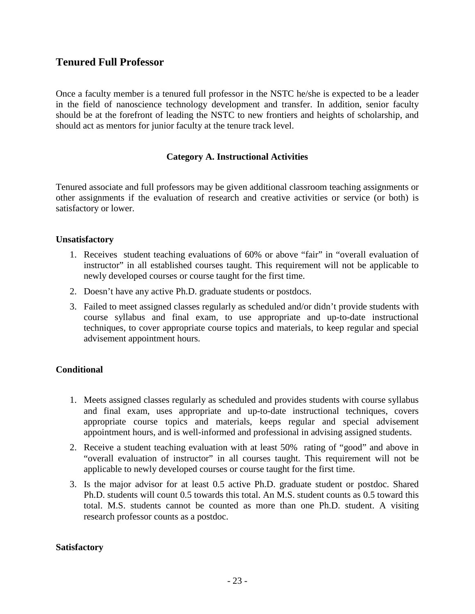# **Tenured Full Professor**

Once a faculty member is a tenured full professor in the NSTC he/she is expected to be a leader in the field of nanoscience technology development and transfer. In addition, senior faculty should be at the forefront of leading the NSTC to new frontiers and heights of scholarship, and should act as mentors for junior faculty at the tenure track level.

#### **Category A. Instructional Activities**

Tenured associate and full professors may be given additional classroom teaching assignments or other assignments if the evaluation of research and creative activities or service (or both) is satisfactory or lower.

#### **Unsatisfactory**

- 1. Receives student teaching evaluations of 60% or above "fair" in "overall evaluation of instructor" in all established courses taught. This requirement will not be applicable to newly developed courses or course taught for the first time.
- 2. Doesn't have any active Ph.D. graduate students or postdocs.
- 3. Failed to meet assigned classes regularly as scheduled and/or didn't provide students with course syllabus and final exam, to use appropriate and up-to-date instructional techniques, to cover appropriate course topics and materials, to keep regular and special advisement appointment hours.

## **Conditional**

- 1. Meets assigned classes regularly as scheduled and provides students with course syllabus and final exam, uses appropriate and up-to-date instructional techniques, covers appropriate course topics and materials, keeps regular and special advisement appointment hours, and is well-informed and professional in advising assigned students.
- 2. Receive a student teaching evaluation with at least 50% rating of "good" and above in "overall evaluation of instructor" in all courses taught. This requirement will not be applicable to newly developed courses or course taught for the first time.
- 3. Is the major advisor for at least 0.5 active Ph.D. graduate student or postdoc. Shared Ph.D. students will count 0.5 towards this total. An M.S. student counts as 0.5 toward this total. M.S. students cannot be counted as more than one Ph.D. student. A visiting research professor counts as a postdoc.

#### **Satisfactory**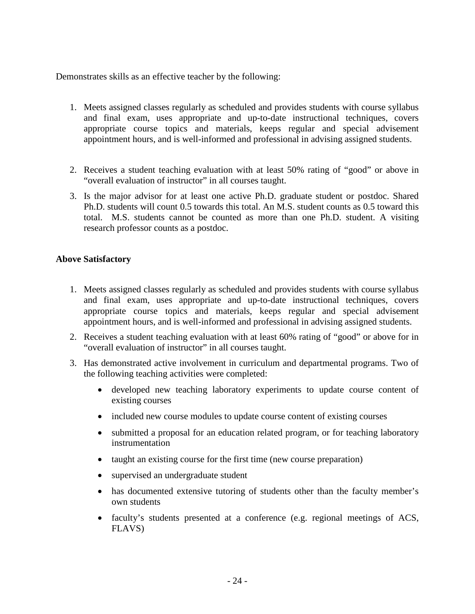Demonstrates skills as an effective teacher by the following:

- 1. Meets assigned classes regularly as scheduled and provides students with course syllabus and final exam, uses appropriate and up-to-date instructional techniques, covers appropriate course topics and materials, keeps regular and special advisement appointment hours, and is well-informed and professional in advising assigned students.
- 2. Receives a student teaching evaluation with at least 50% rating of "good" or above in "overall evaluation of instructor" in all courses taught.
- 3. Is the major advisor for at least one active Ph.D. graduate student or postdoc. Shared Ph.D. students will count 0.5 towards this total. An M.S. student counts as 0.5 toward this total. M.S. students cannot be counted as more than one Ph.D. student. A visiting research professor counts as a postdoc.

## **Above Satisfactory**

- 1. Meets assigned classes regularly as scheduled and provides students with course syllabus and final exam, uses appropriate and up-to-date instructional techniques, covers appropriate course topics and materials, keeps regular and special advisement appointment hours, and is well-informed and professional in advising assigned students.
- 2. Receives a student teaching evaluation with at least 60% rating of "good" or above for in "overall evaluation of instructor" in all courses taught.
- 3. Has demonstrated active involvement in curriculum and departmental programs. Two of the following teaching activities were completed:
	- developed new teaching laboratory experiments to update course content of existing courses
	- included new course modules to update course content of existing courses
	- submitted a proposal for an education related program, or for teaching laboratory instrumentation
	- taught an existing course for the first time (new course preparation)
	- supervised an undergraduate student
	- has documented extensive tutoring of students other than the faculty member's own students
	- faculty's students presented at a conference (e.g. regional meetings of ACS, FLAVS)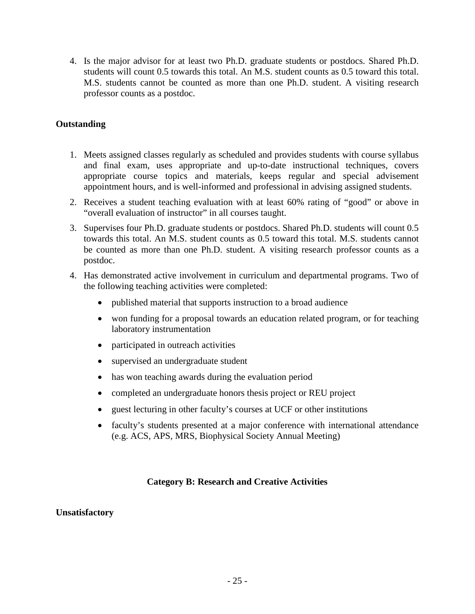4. Is the major advisor for at least two Ph.D. graduate students or postdocs. Shared Ph.D. students will count 0.5 towards this total. An M.S. student counts as 0.5 toward this total. M.S. students cannot be counted as more than one Ph.D. student. A visiting research professor counts as a postdoc.

## **Outstanding**

- 1. Meets assigned classes regularly as scheduled and provides students with course syllabus and final exam, uses appropriate and up-to-date instructional techniques, covers appropriate course topics and materials, keeps regular and special advisement appointment hours, and is well-informed and professional in advising assigned students.
- 2. Receives a student teaching evaluation with at least 60% rating of "good" or above in "overall evaluation of instructor" in all courses taught.
- 3. Supervises four Ph.D. graduate students or postdocs. Shared Ph.D. students will count 0.5 towards this total. An M.S. student counts as 0.5 toward this total. M.S. students cannot be counted as more than one Ph.D. student. A visiting research professor counts as a postdoc.
- 4. Has demonstrated active involvement in curriculum and departmental programs. Two of the following teaching activities were completed:
	- published material that supports instruction to a broad audience
	- won funding for a proposal towards an education related program, or for teaching laboratory instrumentation
	- participated in outreach activities
	- supervised an undergraduate student
	- has won teaching awards during the evaluation period
	- completed an undergraduate honors thesis project or REU project
	- guest lecturing in other faculty's courses at UCF or other institutions
	- faculty's students presented at a major conference with international attendance (e.g. ACS, APS, MRS, Biophysical Society Annual Meeting)

## **Category B: Research and Creative Activities**

#### **Unsatisfactory**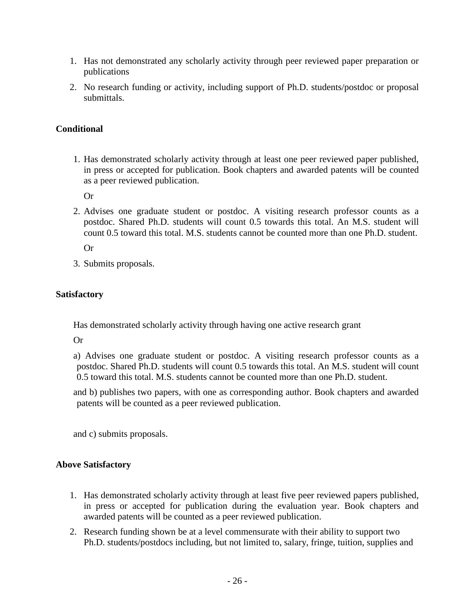- 1. Has not demonstrated any scholarly activity through peer reviewed paper preparation or publications
- 2. No research funding or activity, including support of Ph.D. students/postdoc or proposal submittals.

# **Conditional**

1. Has demonstrated scholarly activity through at least one peer reviewed paper published, in press or accepted for publication. Book chapters and awarded patents will be counted as a peer reviewed publication.

Or

2. Advises one graduate student or postdoc. A visiting research professor counts as a postdoc. Shared Ph.D. students will count 0.5 towards this total. An M.S. student will count 0.5 toward this total. M.S. students cannot be counted more than one Ph.D. student.

Or

3. Submits proposals.

## **Satisfactory**

Has demonstrated scholarly activity through having one active research grant

Or

- a) Advises one graduate student or postdoc. A visiting research professor counts as a postdoc. Shared Ph.D. students will count 0.5 towards this total. An M.S. student will count 0.5 toward this total. M.S. students cannot be counted more than one Ph.D. student.
- and b) publishes two papers, with one as corresponding author. Book chapters and awarded patents will be counted as a peer reviewed publication.

and c) submits proposals.

# **Above Satisfactory**

- 1. Has demonstrated scholarly activity through at least five peer reviewed papers published, in press or accepted for publication during the evaluation year. Book chapters and awarded patents will be counted as a peer reviewed publication.
- 2. Research funding shown be at a level commensurate with their ability to support two Ph.D. students/postdocs including, but not limited to, salary, fringe, tuition, supplies and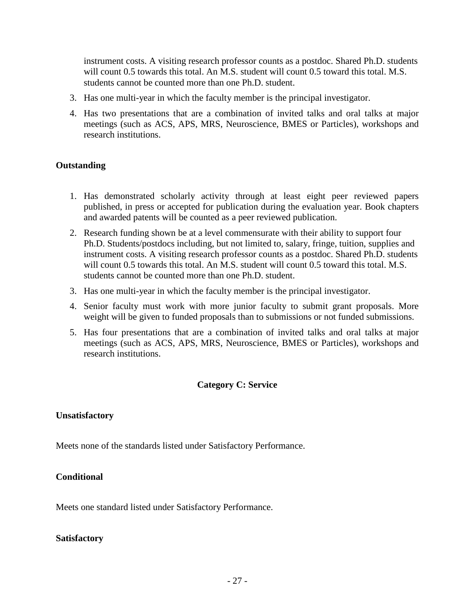instrument costs. A visiting research professor counts as a postdoc. Shared Ph.D. students will count 0.5 towards this total. An M.S. student will count 0.5 toward this total. M.S. students cannot be counted more than one Ph.D. student.

- 3. Has one multi-year in which the faculty member is the principal investigator.
- 4. Has two presentations that are a combination of invited talks and oral talks at major meetings (such as ACS, APS, MRS, Neuroscience, BMES or Particles), workshops and research institutions.

## **Outstanding**

- 1. Has demonstrated scholarly activity through at least eight peer reviewed papers published, in press or accepted for publication during the evaluation year. Book chapters and awarded patents will be counted as a peer reviewed publication.
- 2. Research funding shown be at a level commensurate with their ability to support four Ph.D. Students/postdocs including, but not limited to, salary, fringe, tuition, supplies and instrument costs. A visiting research professor counts as a postdoc. Shared Ph.D. students will count 0.5 towards this total. An M.S. student will count 0.5 toward this total. M.S. students cannot be counted more than one Ph.D. student.
- 3. Has one multi-year in which the faculty member is the principal investigator.
- 4. Senior faculty must work with more junior faculty to submit grant proposals. More weight will be given to funded proposals than to submissions or not funded submissions.
- 5. Has four presentations that are a combination of invited talks and oral talks at major meetings (such as ACS, APS, MRS, Neuroscience, BMES or Particles), workshops and research institutions.

## **Category C: Service**

#### **Unsatisfactory**

Meets none of the standards listed under Satisfactory Performance.

#### **Conditional**

Meets one standard listed under Satisfactory Performance.

#### **Satisfactory**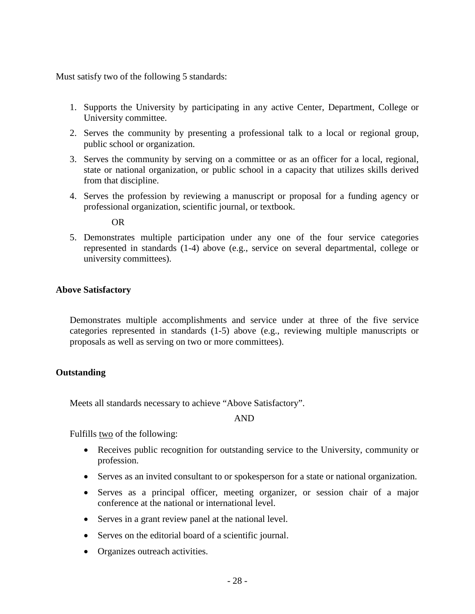Must satisfy two of the following 5 standards:

- 1. Supports the University by participating in any active Center, Department, College or University committee.
- 2. Serves the community by presenting a professional talk to a local or regional group, public school or organization.
- 3. Serves the community by serving on a committee or as an officer for a local, regional, state or national organization, or public school in a capacity that utilizes skills derived from that discipline.
- 4. Serves the profession by reviewing a manuscript or proposal for a funding agency or professional organization, scientific journal, or textbook.

OR

5. Demonstrates multiple participation under any one of the four service categories represented in standards (1-4) above (e.g., service on several departmental, college or university committees).

## **Above Satisfactory**

Demonstrates multiple accomplishments and service under at three of the five service categories represented in standards (1-5) above (e.g., reviewing multiple manuscripts or proposals as well as serving on two or more committees).

#### **Outstanding**

Meets all standards necessary to achieve "Above Satisfactory".

AND

Fulfills two of the following:

- Receives public recognition for outstanding service to the University, community or profession.
- Serves as an invited consultant to or spokesperson for a state or national organization.
- Serves as a principal officer, meeting organizer, or session chair of a major conference at the national or international level.
- Serves in a grant review panel at the national level.
- Serves on the editorial board of a scientific journal.
- Organizes outreach activities.